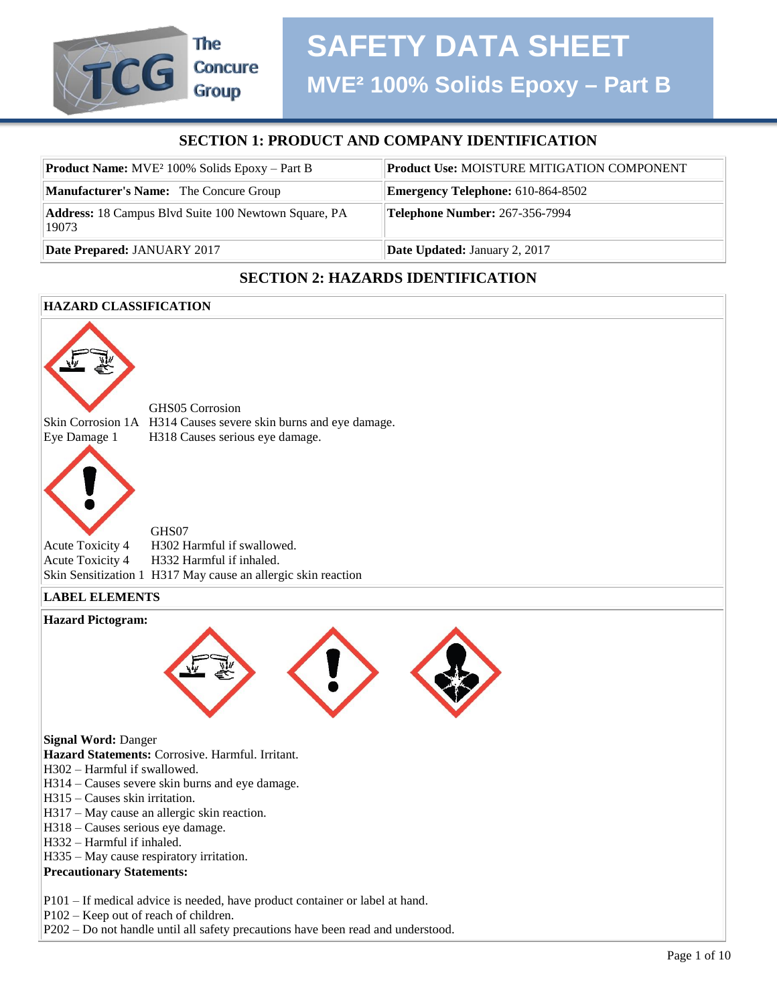#### **SECTION 1: PRODUCT AND COMPANY IDENTIFICATION**

| <b>Product Name:</b> MVE <sup>2</sup> 100% Solids Epoxy – Part B | <b>Product Use: MOISTURE MITIGATION COMPONENT</b> |
|------------------------------------------------------------------|---------------------------------------------------|
| <b>Manufacturer's Name:</b> The Concure Group                    | <b>Emergency Telephone: 610-864-8502</b>          |
| Address: 18 Campus Blvd Suite 100 Newtown Square, PA<br>19073    | <b>Telephone Number: 267-356-7994</b>             |
| Date Prepared: JANUARY 2017                                      | <b>Date Updated: January 2, 2017</b>              |

#### **SECTION 2: HAZARDS IDENTIFICATION**

#### **HAZARD CLASSIFICATION**

The

**Concure Group** 

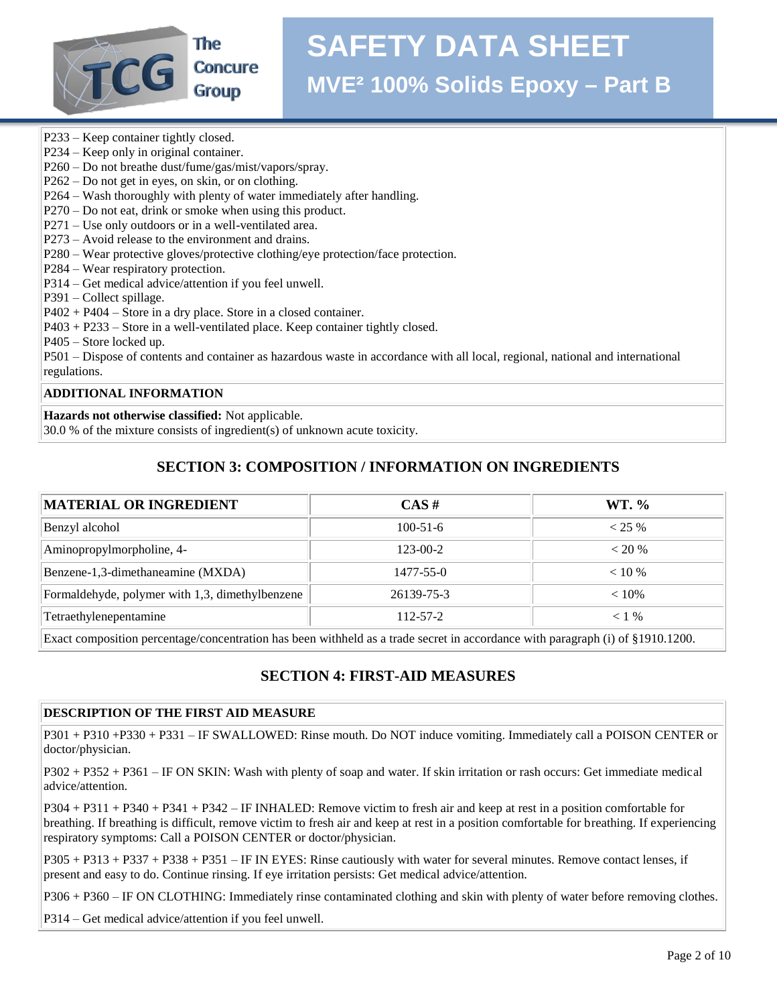

### **SAFETY DATA SHEET MVE² 100% Solids Epoxy – Part B**

- P233 Keep container tightly closed.
- P234 Keep only in original container.
- P260 Do not breathe dust/fume/gas/mist/vapors/spray.
- P262 Do not get in eyes, on skin, or on clothing.
- P264 Wash thoroughly with plenty of water immediately after handling.
- P270 Do not eat, drink or smoke when using this product.
- P271 Use only outdoors or in a well-ventilated area.
- P273 Avoid release to the environment and drains.
- P280 Wear protective gloves/protective clothing/eye protection/face protection.
- P284 Wear respiratory protection.
- P314 Get medical advice/attention if you feel unwell.
- P391 Collect spillage.
- P402 + P404 Store in a dry place. Store in a closed container.
- P403 + P233 Store in a well-ventilated place. Keep container tightly closed.
- P405 Store locked up.

P501 – Dispose of contents and container as hazardous waste in accordance with all local, regional, national and international regulations.

#### **ADDITIONAL INFORMATION**

**Hazards not otherwise classified:** Not applicable.

30.0 % of the mixture consists of ingredient(s) of unknown acute toxicity.

#### **SECTION 3: COMPOSITION / INFORMATION ON INGREDIENTS**

| <b>MATERIAL OR INGREDIENT</b>                   | CAS#            | WT. %     |
|-------------------------------------------------|-----------------|-----------|
| Benzyl alcohol                                  | $100 - 51 - 6$  | $< 25 \%$ |
| Aminopropylmorpholine, 4-                       | $123 - 00 - 2$  | $< 20\%$  |
| Benzene-1,3-dimethaneamine (MXDA)               | $1477 - 55 - 0$ | $< 10\%$  |
| Formaldehyde, polymer with 1,3, dimethylbenzene | 26139-75-3      | $< 10\%$  |
| Tetraethylenepentamine                          | $112 - 57 - 2$  | $< 1\%$   |

Exact composition percentage/concentration has been withheld as a trade secret in accordance with paragraph (i) of §1910.1200.

#### **SECTION 4: FIRST-AID MEASURES**

#### **DESCRIPTION OF THE FIRST AID MEASURE**

P301 + P310 +P330 + P331 – IF SWALLOWED: Rinse mouth. Do NOT induce vomiting. Immediately call a POISON CENTER or doctor/physician.

P302 + P352 + P361 – IF ON SKIN: Wash with plenty of soap and water. If skin irritation or rash occurs: Get immediate medical advice/attention.

P304 + P311 + P340 + P341 + P342 – IF INHALED: Remove victim to fresh air and keep at rest in a position comfortable for breathing. If breathing is difficult, remove victim to fresh air and keep at rest in a position comfortable for breathing. If experiencing respiratory symptoms: Call a POISON CENTER or doctor/physician.

P305 + P313 + P337 + P338 + P351 – IF IN EYES: Rinse cautiously with water for several minutes. Remove contact lenses, if present and easy to do. Continue rinsing. If eye irritation persists: Get medical advice/attention.

P306 + P360 – IF ON CLOTHING: Immediately rinse contaminated clothing and skin with plenty of water before removing clothes.

P314 – Get medical advice/attention if you feel unwell.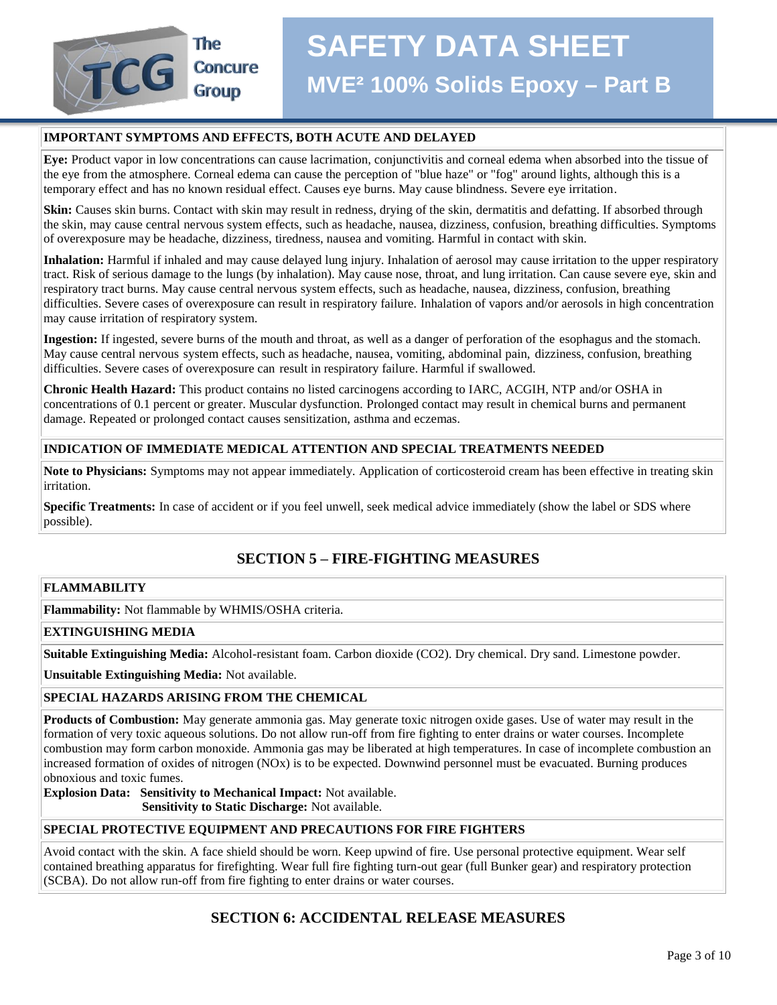

#### **IMPORTANT SYMPTOMS AND EFFECTS, BOTH ACUTE AND DELAYED**

**Eye:** Product vapor in low concentrations can cause lacrimation, conjunctivitis and corneal edema when absorbed into the tissue of the eye from the atmosphere. Corneal edema can cause the perception of "blue haze" or "fog" around lights, although this is a temporary effect and has no known residual effect. Causes eye burns. May cause blindness. Severe eye irritation.

**Skin:** Causes skin burns. Contact with skin may result in redness, drying of the skin, dermatitis and defatting. If absorbed through the skin, may cause central nervous system effects, such as headache, nausea, dizziness, confusion, breathing difficulties. Symptoms of overexposure may be headache, dizziness, tiredness, nausea and vomiting. Harmful in contact with skin.

**Inhalation:** Harmful if inhaled and may cause delayed lung injury. Inhalation of aerosol may cause irritation to the upper respiratory tract. Risk of serious damage to the lungs (by inhalation). May cause nose, throat, and lung irritation. Can cause severe eye, skin and respiratory tract burns. May cause central nervous system effects, such as headache, nausea, dizziness, confusion, breathing difficulties. Severe cases of overexposure can result in respiratory failure. Inhalation of vapors and/or aerosols in high concentration may cause irritation of respiratory system.

**Ingestion:** If ingested, severe burns of the mouth and throat, as well as a danger of perforation of the esophagus and the stomach. May cause central nervous system effects, such as headache, nausea, vomiting, abdominal pain, dizziness, confusion, breathing difficulties. Severe cases of overexposure can result in respiratory failure. Harmful if swallowed.

**Chronic Health Hazard:** This product contains no listed carcinogens according to IARC, ACGIH, NTP and/or OSHA in concentrations of 0.1 percent or greater. Muscular dysfunction. Prolonged contact may result in chemical burns and permanent damage. Repeated or prolonged contact causes sensitization, asthma and eczemas.

#### **INDICATION OF IMMEDIATE MEDICAL ATTENTION AND SPECIAL TREATMENTS NEEDED**

**Note to Physicians:** Symptoms may not appear immediately. Application of corticosteroid cream has been effective in treating skin irritation.

**Specific Treatments:** In case of accident or if you feel unwell, seek medical advice immediately (show the label or SDS where possible).

#### **SECTION 5 – FIRE-FIGHTING MEASURES**

#### **FLAMMABILITY**

**Flammability:** Not flammable by WHMIS/OSHA criteria.

#### **EXTINGUISHING MEDIA**

**Suitable Extinguishing Media:** Alcohol-resistant foam. Carbon dioxide (CO2). Dry chemical. Dry sand. Limestone powder.

**Unsuitable Extinguishing Media:** Not available.

#### **SPECIAL HAZARDS ARISING FROM THE CHEMICAL**

**Products of Combustion:** May generate ammonia gas. May generate toxic nitrogen oxide gases. Use of water may result in the formation of very toxic aqueous solutions. Do not allow run-off from fire fighting to enter drains or water courses. Incomplete combustion may form carbon monoxide. Ammonia gas may be liberated at high temperatures. In case of incomplete combustion an increased formation of oxides of nitrogen (NOx) is to be expected. Downwind personnel must be evacuated. Burning produces obnoxious and toxic fumes.

**Explosion Data: Sensitivity to Mechanical Impact:** Not available.  **Sensitivity to Static Discharge:** Not available.

#### **SPECIAL PROTECTIVE EQUIPMENT AND PRECAUTIONS FOR FIRE FIGHTERS**

Avoid contact with the skin. A face shield should be worn. Keep upwind of fire. Use personal protective equipment. Wear self contained breathing apparatus for firefighting. Wear full fire fighting turn-out gear (full Bunker gear) and respiratory protection (SCBA). Do not allow run-off from fire fighting to enter drains or water courses.

#### **SECTION 6: ACCIDENTAL RELEASE MEASURES**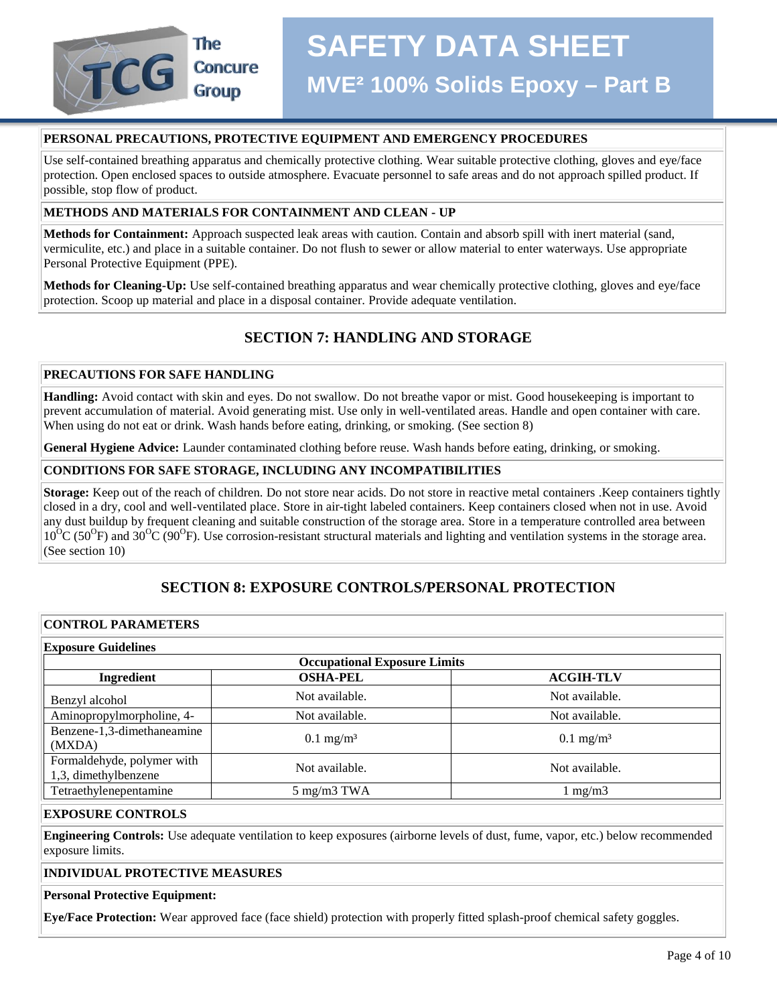

#### **PERSONAL PRECAUTIONS, PROTECTIVE EQUIPMENT AND EMERGENCY PROCEDURES**

Use self-contained breathing apparatus and chemically protective clothing. Wear suitable protective clothing, gloves and eye/face protection. Open enclosed spaces to outside atmosphere. Evacuate personnel to safe areas and do not approach spilled product. If possible, stop flow of product.

#### **METHODS AND MATERIALS FOR CONTAINMENT AND CLEAN - UP**

**Methods for Containment:** Approach suspected leak areas with caution. Contain and absorb spill with inert material (sand, vermiculite, etc.) and place in a suitable container. Do not flush to sewer or allow material to enter waterways. Use appropriate Personal Protective Equipment (PPE).

**Methods for Cleaning-Up:** Use self-contained breathing apparatus and wear chemically protective clothing, gloves and eye/face protection. Scoop up material and place in a disposal container. Provide adequate ventilation.

#### **SECTION 7: HANDLING AND STORAGE**

#### **PRECAUTIONS FOR SAFE HANDLING**

**Handling:** Avoid contact with skin and eyes. Do not swallow. Do not breathe vapor or mist. Good housekeeping is important to prevent accumulation of material. Avoid generating mist. Use only in well-ventilated areas. Handle and open container with care. When using do not eat or drink. Wash hands before eating, drinking, or smoking. (See section 8)

**General Hygiene Advice:** Launder contaminated clothing before reuse. Wash hands before eating, drinking, or smoking.

#### **CONDITIONS FOR SAFE STORAGE, INCLUDING ANY INCOMPATIBILITIES**

**Storage:** Keep out of the reach of children. Do not store near acids. Do not store in reactive metal containers .Keep containers tightly closed in a dry, cool and well-ventilated place. Store in air-tight labeled containers. Keep containers closed when not in use. Avoid any dust buildup by frequent cleaning and suitable construction of the storage area. Store in a temperature controlled area between  $10^{O}$ C (50<sup>O</sup>F) and 30<sup>O</sup>C (90<sup>O</sup>F). Use corrosion-resistant structural materials and lighting and ventilation systems in the storage area. (See section 10)

#### **SECTION 8: EXPOSURE CONTROLS/PERSONAL PROTECTION**

#### **CONTROL PARAMETERS**

| <b>Exposure Guidelines</b>                         |                                     |                      |
|----------------------------------------------------|-------------------------------------|----------------------|
|                                                    | <b>Occupational Exposure Limits</b> |                      |
| Ingredient                                         | <b>OSHA-PEL</b>                     | <b>ACGIH-TLV</b>     |
| Benzyl alcohol                                     | Not available.                      | Not available.       |
| Aminopropylmorpholine, 4-                          | Not available.                      | Not available.       |
| Benzene-1,3-dimethaneamine<br>(MXDA)               | $0.1 \text{ mg/m}^3$                | $0.1 \text{ mg/m}^3$ |
| Formaldehyde, polymer with<br>1,3, dimethylbenzene | Not available.                      | Not available.       |
| Tetraethylenepentamine                             | $5 \text{ mg/m}3 \text{ TWA}$       | $1 \text{ mg/m}$     |

#### **EXPOSURE CONTROLS**

**Engineering Controls:** Use adequate ventilation to keep exposures (airborne levels of dust, fume, vapor, etc.) below recommended exposure limits.

#### **INDIVIDUAL PROTECTIVE MEASURES**

#### **Personal Protective Equipment:**

**Eye/Face Protection:** Wear approved face (face shield) protection with properly fitted splash-proof chemical safety goggles.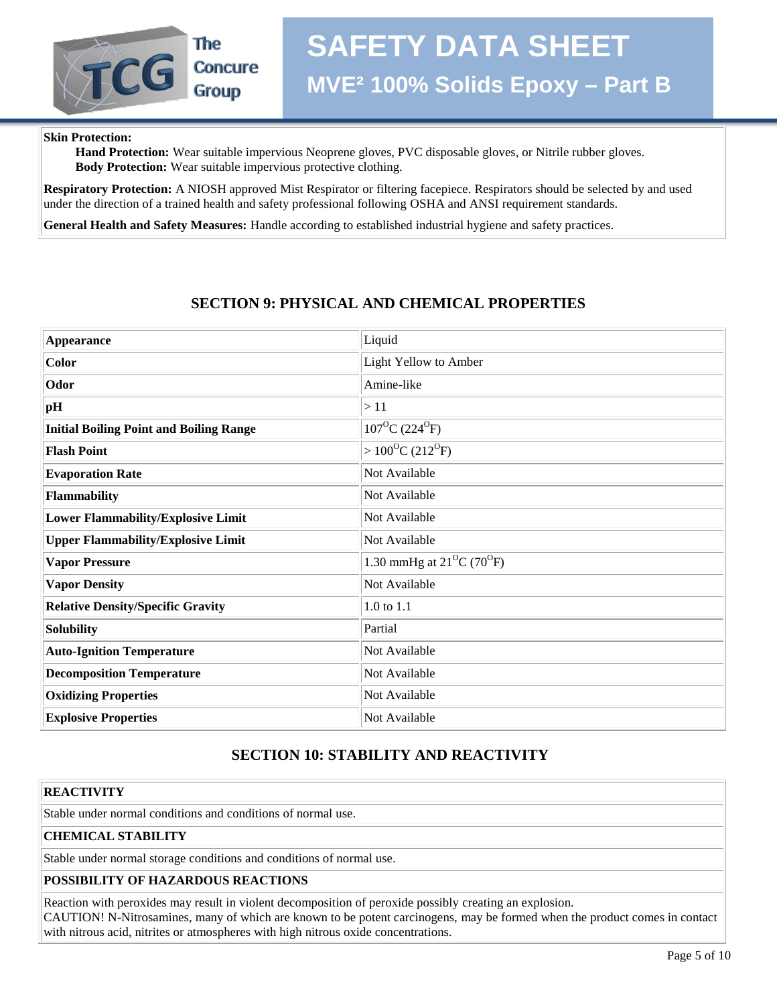#### **Skin Protection:**

The

**Concure Group** 

 **Hand Protection:** Wear suitable impervious Neoprene gloves, PVC disposable gloves, or Nitrile rubber gloves.  **Body Protection:** Wear suitable impervious protective clothing.

**Respiratory Protection:** A NIOSH approved Mist Respirator or filtering facepiece. Respirators should be selected by and used under the direction of a trained health and safety professional following OSHA and ANSI requirement standards.

**General Health and Safety Measures:** Handle according to established industrial hygiene and safety practices.

#### **SECTION 9: PHYSICAL AND CHEMICAL PROPERTIES**

| <b>Appearance</b>                              | Liquid                                          |
|------------------------------------------------|-------------------------------------------------|
| <b>Color</b>                                   | Light Yellow to Amber                           |
| Odor                                           | Amine-like                                      |
| pH                                             | >11                                             |
| <b>Initial Boiling Point and Boiling Range</b> | $107^{\circ}$ C (224 <sup>°</sup> F)            |
| <b>Flash Point</b>                             | $>100^{\circ}C(212^{\circ}F)$                   |
| <b>Evaporation Rate</b>                        | Not Available                                   |
| Flammability                                   | Not Available                                   |
| <b>Lower Flammability/Explosive Limit</b>      | Not Available                                   |
| <b>Upper Flammability/Explosive Limit</b>      | Not Available                                   |
| <b>Vapor Pressure</b>                          | 1.30 mmHg at $21^{\circ}$ C (70 <sup>o</sup> F) |
| <b>Vapor Density</b>                           | Not Available                                   |
| <b>Relative Density/Specific Gravity</b>       | 1.0 to 1.1                                      |
| <b>Solubility</b>                              | Partial                                         |
| <b>Auto-Ignition Temperature</b>               | Not Available                                   |
| <b>Decomposition Temperature</b>               | Not Available                                   |
| <b>Oxidizing Properties</b>                    | Not Available                                   |
| <b>Explosive Properties</b>                    | Not Available                                   |

### **SECTION 10: STABILITY AND REACTIVITY**

#### **REACTIVITY**

Stable under normal conditions and conditions of normal use.

#### **CHEMICAL STABILITY**

Stable under normal storage conditions and conditions of normal use.

#### **POSSIBILITY OF HAZARDOUS REACTIONS**

Reaction with peroxides may result in violent decomposition of peroxide possibly creating an explosion. CAUTION! N-Nitrosamines, many of which are known to be potent carcinogens, may be formed when the product comes in contact with nitrous acid, nitrites or atmospheres with high nitrous oxide concentrations.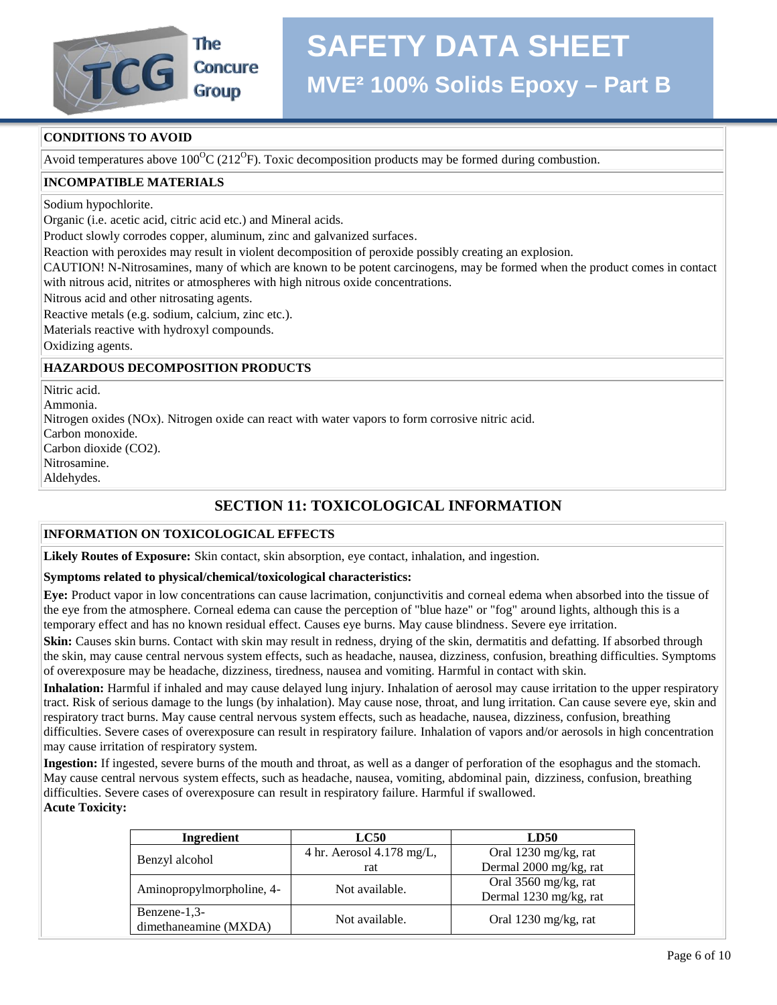

# **SAFETY DATA SHEET**

### **MVE² 100% Solids Epoxy – Part B**

#### **CONDITIONS TO AVOID**

Avoid temperatures above  $100^{\circ}$ C (212<sup>o</sup>F). Toxic decomposition products may be formed during combustion.

#### **INCOMPATIBLE MATERIALS**

Sodium hypochlorite.

Organic (i.e. acetic acid, citric acid etc.) and Mineral acids.

Product slowly corrodes copper, aluminum, zinc and galvanized surfaces.

Reaction with peroxides may result in violent decomposition of peroxide possibly creating an explosion.

CAUTION! N-Nitrosamines, many of which are known to be potent carcinogens, may be formed when the product comes in contact with nitrous acid, nitrites or atmospheres with high nitrous oxide concentrations.

Nitrous acid and other nitrosating agents.

Reactive metals (e.g. sodium, calcium, zinc etc.).

Materials reactive with hydroxyl compounds.

Oxidizing agents.

#### **HAZARDOUS DECOMPOSITION PRODUCTS**

Nitric acid. Ammonia. Nitrogen oxides (NOx). Nitrogen oxide can react with water vapors to form corrosive nitric acid. Carbon monoxide. Carbon dioxide (CO2). Nitrosamine. Aldehydes.

#### **SECTION 11: TOXICOLOGICAL INFORMATION**

#### **INFORMATION ON TOXICOLOGICAL EFFECTS**

**Likely Routes of Exposure:** Skin contact, skin absorption, eye contact, inhalation, and ingestion.

#### **Symptoms related to physical/chemical/toxicological characteristics:**

**Eye:** Product vapor in low concentrations can cause lacrimation, conjunctivitis and corneal edema when absorbed into the tissue of the eye from the atmosphere. Corneal edema can cause the perception of "blue haze" or "fog" around lights, although this is a temporary effect and has no known residual effect. Causes eye burns. May cause blindness. Severe eye irritation.

**Skin:** Causes skin burns. Contact with skin may result in redness, drying of the skin, dermatitis and defatting. If absorbed through the skin, may cause central nervous system effects, such as headache, nausea, dizziness, confusion, breathing difficulties. Symptoms of overexposure may be headache, dizziness, tiredness, nausea and vomiting. Harmful in contact with skin.

**Inhalation:** Harmful if inhaled and may cause delayed lung injury. Inhalation of aerosol may cause irritation to the upper respiratory tract. Risk of serious damage to the lungs (by inhalation). May cause nose, throat, and lung irritation. Can cause severe eye, skin and respiratory tract burns. May cause central nervous system effects, such as headache, nausea, dizziness, confusion, breathing difficulties. Severe cases of overexposure can result in respiratory failure. Inhalation of vapors and/or aerosols in high concentration may cause irritation of respiratory system.

**Ingestion:** If ingested, severe burns of the mouth and throat, as well as a danger of perforation of the esophagus and the stomach. May cause central nervous system effects, such as headache, nausea, vomiting, abdominal pain, dizziness, confusion, breathing difficulties. Severe cases of overexposure can result in respiratory failure. Harmful if swallowed. **Acute Toxicity:**

| Ingredient                | $_{\rm LC50}$             | <b>LD50</b>            |
|---------------------------|---------------------------|------------------------|
| Benzyl alcohol            | 4 hr. Aerosol 4.178 mg/L, | Oral 1230 mg/kg, rat   |
|                           | rat                       | Dermal 2000 mg/kg, rat |
| Aminopropylmorpholine, 4- | Not available.            | Oral 3560 mg/kg, rat   |
|                           |                           | Dermal 1230 mg/kg, rat |
| Benzene-1,3-              | Not available.            |                        |
| dimethaneamine (MXDA)     |                           | Oral 1230 mg/kg, rat   |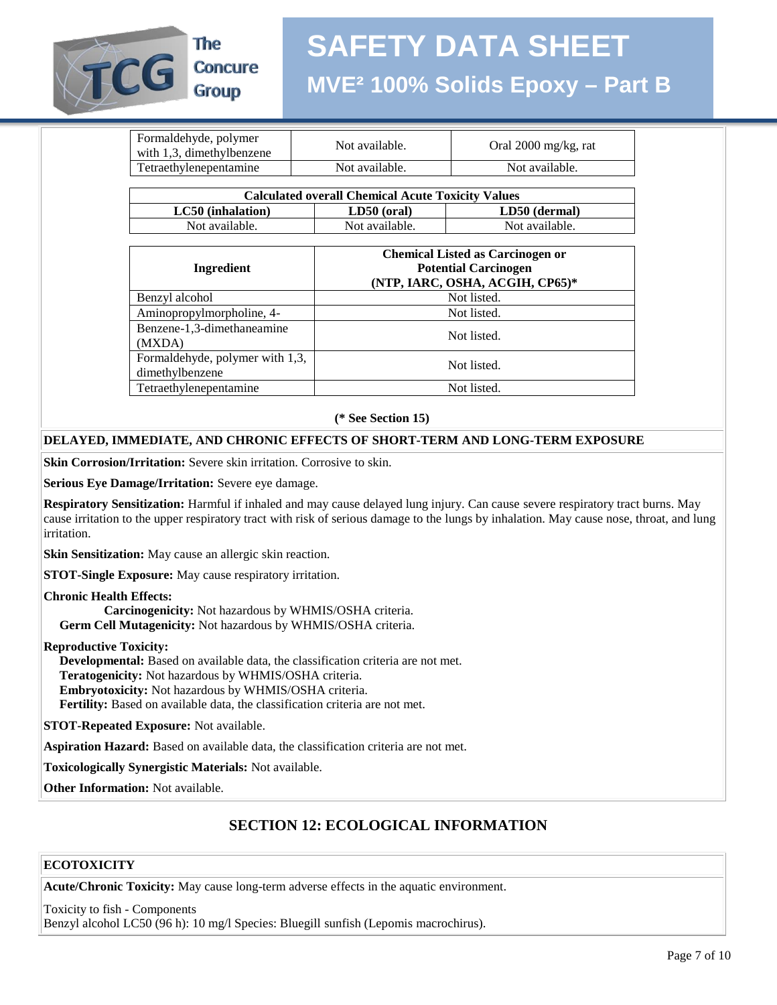

### **SAFETY DATA SHEET MVE² 100% Solids Epoxy – Part B**

| Formaldehyde, polymer<br>with 1,3, dimethylbenzene | Not available. | Oral $2000 \text{ mg/kg}$ , rat |
|----------------------------------------------------|----------------|---------------------------------|
| Tetraethylenepentamine                             | Not available. | Not available.                  |
|                                                    |                |                                 |

| <b>Calculated overall Chemical Acute Toxicity Values</b> |                |                |  |
|----------------------------------------------------------|----------------|----------------|--|
| LC50 (inhalation)<br>$LD50$ (oral)                       |                | LD50 (dermal)  |  |
| Not available.                                           | Not available. | Not available. |  |

| Ingredient                                         | <b>Chemical Listed as Carcinogen or</b><br><b>Potential Carcinogen</b><br>(NTP, IARC, OSHA, ACGIH, CP65)* |
|----------------------------------------------------|-----------------------------------------------------------------------------------------------------------|
| Benzyl alcohol                                     | Not listed.                                                                                               |
| Aminopropylmorpholine, 4-                          | Not listed.                                                                                               |
| Benzene-1,3-dimethaneamine<br>(MXDA)               | Not listed.                                                                                               |
| Formaldehyde, polymer with 1,3,<br>dimethylbenzene | Not listed.                                                                                               |
| Tetraethylenepentamine                             | Not listed.                                                                                               |

**(\* See Section 15)**

#### **DELAYED, IMMEDIATE, AND CHRONIC EFFECTS OF SHORT-TERM AND LONG-TERM EXPOSURE**

**Skin Corrosion/Irritation:** Severe skin irritation. Corrosive to skin.

**Serious Eye Damage/Irritation:** Severe eye damage.

**Respiratory Sensitization:** Harmful if inhaled and may cause delayed lung injury. Can cause severe respiratory tract burns. May cause irritation to the upper respiratory tract with risk of serious damage to the lungs by inhalation. May cause nose, throat, and lung irritation.

**Skin Sensitization:** May cause an allergic skin reaction.

**STOT-Single Exposure:** May cause respiratory irritation.

**Chronic Health Effects:**

 **Carcinogenicity:** Not hazardous by WHMIS/OSHA criteria.  **Germ Cell Mutagenicity:** Not hazardous by WHMIS/OSHA criteria.

#### **Reproductive Toxicity:**

 **Developmental:** Based on available data, the classification criteria are not met.  **Teratogenicity:** Not hazardous by WHMIS/OSHA criteria.  **Embryotoxicity:** Not hazardous by WHMIS/OSHA criteria.  **Fertility:** Based on available data, the classification criteria are not met.

**STOT-Repeated Exposure:** Not available.

**Aspiration Hazard:** Based on available data, the classification criteria are not met.

**Toxicologically Synergistic Materials:** Not available.

**Other Information:** Not available.

#### **SECTION 12: ECOLOGICAL INFORMATION**

#### **ECOTOXICITY**

**Acute/Chronic Toxicity:** May cause long-term adverse effects in the aquatic environment.

Toxicity to fish - Components Benzyl alcohol LC50 (96 h): 10 mg/l Species: Bluegill sunfish (Lepomis macrochirus).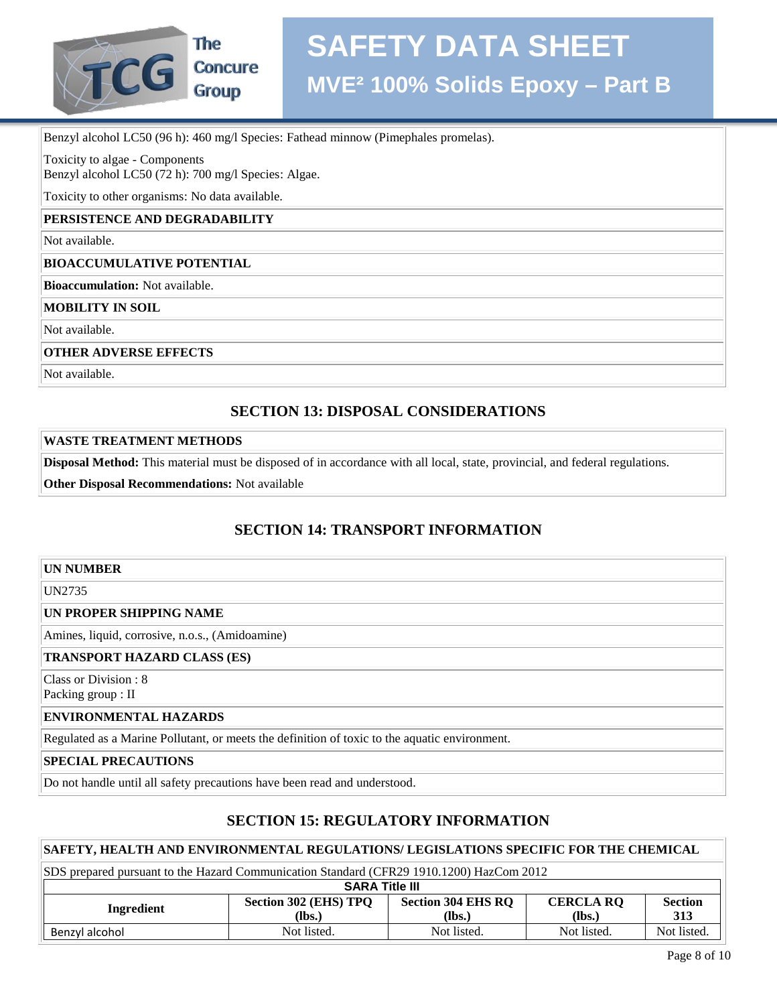

**Group** 

Benzyl alcohol LC50 (96 h): 460 mg/l Species: Fathead minnow (Pimephales promelas).

Toxicity to algae - Components

Benzyl alcohol LC50 (72 h): 700 mg/l Species: Algae.

Toxicity to other organisms: No data available.

#### **PERSISTENCE AND DEGRADABILITY**

Not available.

#### **BIOACCUMULATIVE POTENTIAL**

**Bioaccumulation:** Not available.

**MOBILITY IN SOIL**

Not available.

**OTHER ADVERSE EFFECTS**

Not available.

#### **SECTION 13: DISPOSAL CONSIDERATIONS**

#### **WASTE TREATMENT METHODS**

**Disposal Method:** This material must be disposed of in accordance with all local, state, provincial, and federal regulations.

**Other Disposal Recommendations:** Not available

#### **SECTION 14: TRANSPORT INFORMATION**

#### **UN NUMBER**

UN2735

#### **UN PROPER SHIPPING NAME**

Amines, liquid, corrosive, n.o.s., (Amidoamine)

#### **TRANSPORT HAZARD CLASS (ES)**

Class or Division : 8 Packing group : II

#### **ENVIRONMENTAL HAZARDS**

Regulated as a Marine Pollutant, or meets the definition of toxic to the aquatic environment.

**SPECIAL PRECAUTIONS**

Do not handle until all safety precautions have been read and understood.

#### **SECTION 15: REGULATORY INFORMATION**

#### **SAFETY, HEALTH AND ENVIRONMENTAL REGULATIONS/ LEGISLATIONS SPECIFIC FOR THE CHEMICAL**

| SDS prepared pursuant to the Hazard Communication Standard (CFR29 1910.1200) HazCom 2012                                                    |             |             |             |             |  |
|---------------------------------------------------------------------------------------------------------------------------------------------|-------------|-------------|-------------|-------------|--|
| <b>SARA Title III</b>                                                                                                                       |             |             |             |             |  |
| Section 302 (EHS) TPQ<br><b>Section 304 EHS RQ</b><br><b>CERCLA RO</b><br><b>Section</b><br>Ingredient<br>(Ibs.)<br>313<br>(lbs.)<br>(lbs.) |             |             |             |             |  |
| Benzyl alcohol                                                                                                                              | Not listed. | Not listed. | Not listed. | Not listed. |  |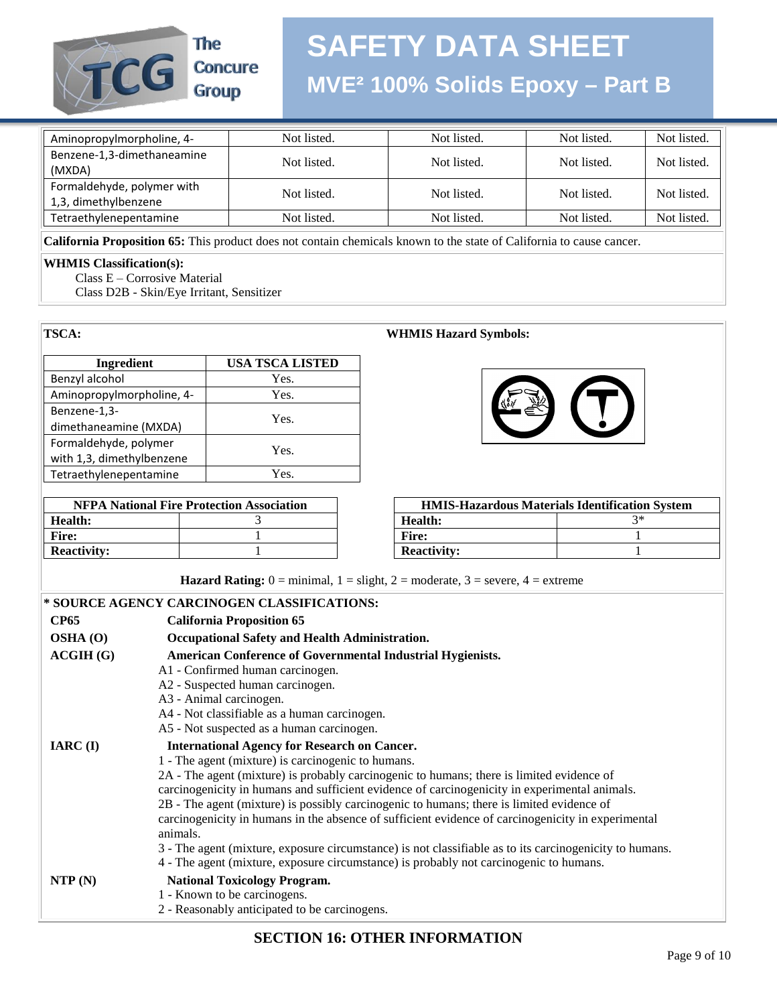

The **Concure** Group

### **SAFETY DATA SHEET MVE² 100% Solids Epoxy – Part B**

| Aminopropylmorpholine, 4-  | Not listed. | Not listed. | Not listed. | Not listed. |
|----------------------------|-------------|-------------|-------------|-------------|
| Benzene-1,3-dimethaneamine | Not listed. | Not listed. | Not listed. | Not listed. |
| (MXDA)                     |             |             |             |             |
| Formaldehyde, polymer with | Not listed. | Not listed. | Not listed. | Not listed. |
| 1,3, dimethylbenzene       |             |             |             |             |
| Tetraethylenepentamine     | Not listed. | Not listed. | Not listed. | Not listed. |

**California Proposition 65:** This product does not contain chemicals known to the state of California to cause cancer.

#### **WHMIS Classification(s):**

Class E – Corrosive Material

Class D2B - Skin/Eye Irritant, Sensitizer

#### **TSCA: WHMIS Hazard Symbols:**

| Ingredient                | <b>USA TSCA LISTED</b> |
|---------------------------|------------------------|
| Benzyl alcohol            | Yes.                   |
| Aminopropylmorpholine, 4- | Yes.                   |
| Benzene-1,3-              | Yes.                   |
| dimethaneamine (MXDA)     |                        |
| Formaldehyde, polymer     | Yes.                   |
| with 1,3, dimethylbenzene |                        |
| Tetraethylenepentamine    | Yes.                   |

| <b>NFPA National Fire Protection Association</b> |  |                    | <b>HMIS-Hazardous Materials Identificatio</b> |    |
|--------------------------------------------------|--|--------------------|-----------------------------------------------|----|
| Health:                                          |  | Health:            |                                               | ?* |
| Fire:                                            |  | Fire:              |                                               |    |
| <b>Reactivity:</b>                               |  | <b>Reactivity:</b> |                                               |    |



| <b>NFPA National Fire Protection Association</b> |  | <b>HMIS-Hazardous Materials Identification System</b> |  |
|--------------------------------------------------|--|-------------------------------------------------------|--|
| lth:                                             |  | Health:                                               |  |
|                                                  |  | Fire:                                                 |  |
| ctivitv:                                         |  | <b>Reactivity:</b>                                    |  |

|              | <b>Hazard Rating:</b> $0 = \text{minimal}$ , $1 = \text{slight}$ , $2 = \text{moderate}$ , $3 = \text{severe}$ , $4 = \text{extreme}$ |  |  |
|--------------|---------------------------------------------------------------------------------------------------------------------------------------|--|--|
|              | * SOURCE AGENCY CARCINOGEN CLASSIFICATIONS:                                                                                           |  |  |
| <b>CP65</b>  | <b>California Proposition 65</b>                                                                                                      |  |  |
| $OSHA$ $(0)$ | Occupational Safety and Health Administration.                                                                                        |  |  |
| ACGIH(G)     | <b>American Conference of Governmental Industrial Hygienists.</b>                                                                     |  |  |
|              | A1 - Confirmed human carcinogen.                                                                                                      |  |  |
|              | A2 - Suspected human carcinogen.                                                                                                      |  |  |
|              | A3 - Animal carcinogen.                                                                                                               |  |  |
|              | A4 - Not classifiable as a human carcinogen.                                                                                          |  |  |
|              | A5 - Not suspected as a human carcinogen.                                                                                             |  |  |
| $IARC$ (I)   | <b>International Agency for Research on Cancer.</b>                                                                                   |  |  |
|              | 1 - The agent (mixture) is carcinogenic to humans.                                                                                    |  |  |
|              | 2A - The agent (mixture) is probably carcinogenic to humans; there is limited evidence of                                             |  |  |
|              | carcinogenicity in humans and sufficient evidence of carcinogenicity in experimental animals.                                         |  |  |
|              | 2B - The agent (mixture) is possibly carcinogenic to humans; there is limited evidence of                                             |  |  |
|              | carcinogenicity in humans in the absence of sufficient evidence of carcinogenicity in experimental<br>animals.                        |  |  |
|              | 3 - The agent (mixture, exposure circumstance) is not classifiable as to its carcinogenicity to humans.                               |  |  |
|              | 4 - The agent (mixture, exposure circumstance) is probably not carcinogenic to humans.                                                |  |  |
| NTP(N)       | <b>National Toxicology Program.</b>                                                                                                   |  |  |
|              | 1 - Known to be carcinogens.                                                                                                          |  |  |
|              | 2 - Reasonably anticipated to be carcinogens.                                                                                         |  |  |